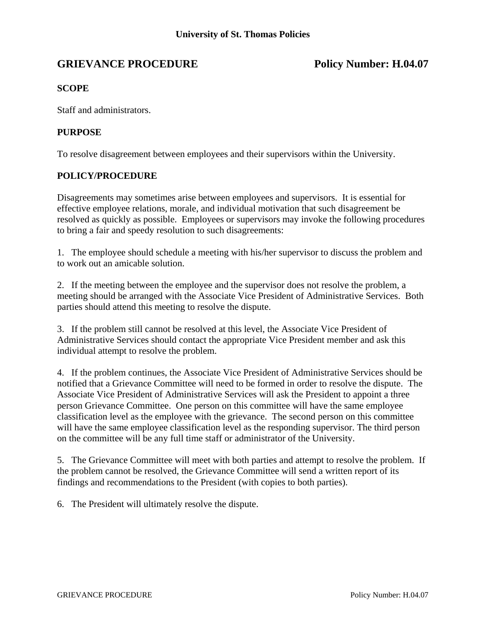# GRIEVANCE PROCEDURE POLICY Number: H.04.07

## **SCOPE**

Staff and administrators.

### **PURPOSE**

To resolve disagreement between employees and their supervisors within the University.

#### **POLICY/PROCEDURE**

Disagreements may sometimes arise between employees and supervisors. It is essential for effective employee relations, morale, and individual motivation that such disagreement be resolved as quickly as possible. Employees or supervisors may invoke the following procedures to bring a fair and speedy resolution to such disagreements:

1. The employee should schedule a meeting with his/her supervisor to discuss the problem and to work out an amicable solution.

2. If the meeting between the employee and the supervisor does not resolve the problem, a meeting should be arranged with the Associate Vice President of Administrative Services. Both parties should attend this meeting to resolve the dispute.

3. If the problem still cannot be resolved at this level, the Associate Vice President of Administrative Services should contact the appropriate Vice President member and ask this individual attempt to resolve the problem.

4. If the problem continues, the Associate Vice President of Administrative Services should be notified that a Grievance Committee will need to be formed in order to resolve the dispute. The Associate Vice President of Administrative Services will ask the President to appoint a three person Grievance Committee. One person on this committee will have the same employee classification level as the employee with the grievance. The second person on this committee will have the same employee classification level as the responding supervisor. The third person on the committee will be any full time staff or administrator of the University.

5. The Grievance Committee will meet with both parties and attempt to resolve the problem. If the problem cannot be resolved, the Grievance Committee will send a written report of its findings and recommendations to the President (with copies to both parties).

6. The President will ultimately resolve the dispute.